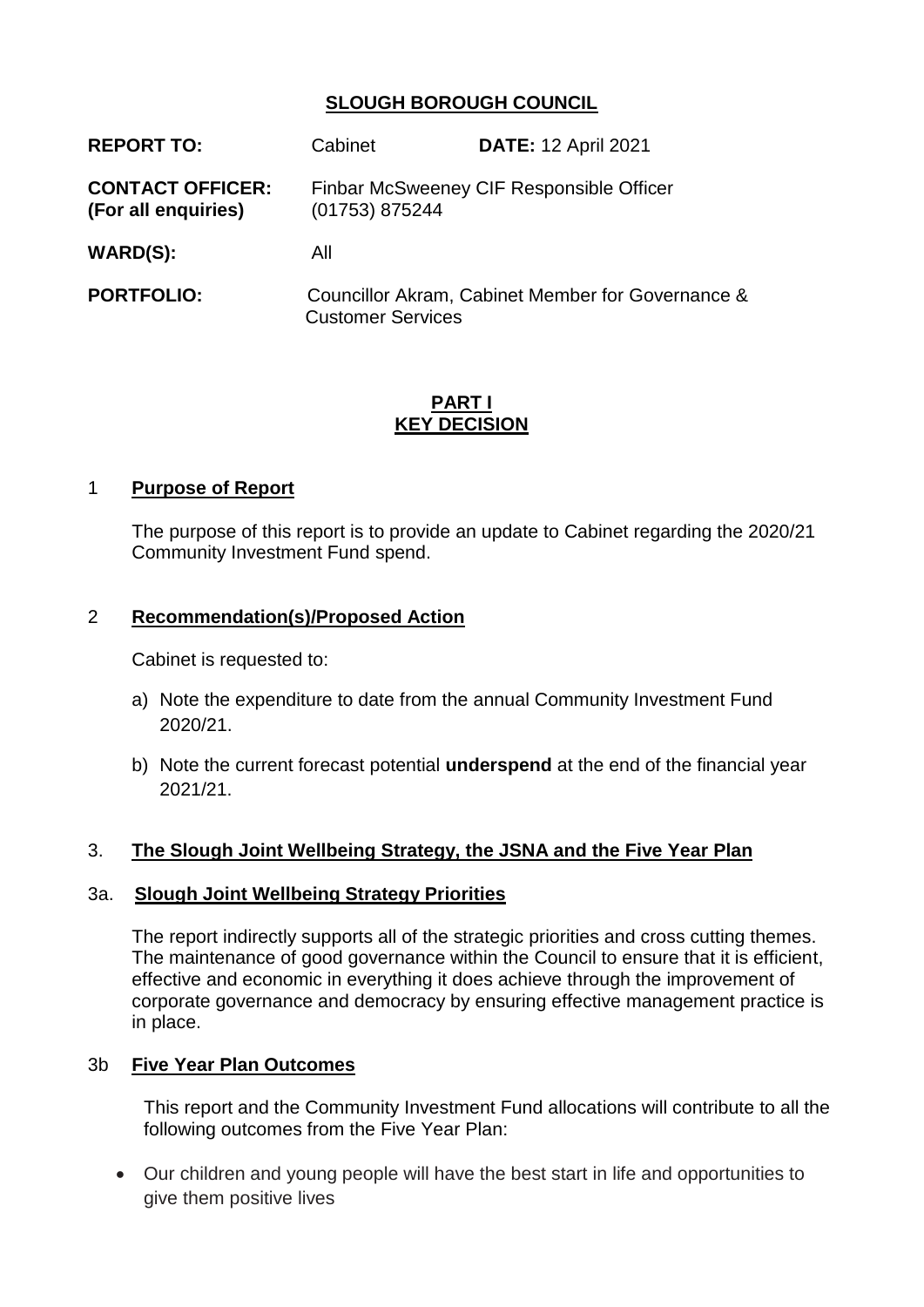### **SLOUGH BOROUGH COUNCIL**

| <b>REPORT TO:</b>                              | Cabinet                  | <b>DATE: 12 April 2021</b>                        |
|------------------------------------------------|--------------------------|---------------------------------------------------|
| <b>CONTACT OFFICER:</b><br>(For all enquiries) | (01753) 875244           | Finbar McSweeney CIF Responsible Officer          |
| WARD(S):                                       | All                      |                                                   |
| <b>PORTFOLIO:</b>                              | <b>Customer Services</b> | Councillor Akram, Cabinet Member for Governance & |

#### **PART I KEY DECISION**

#### 1 **Purpose of Report**

The purpose of this report is to provide an update to Cabinet regarding the 2020/21 Community Investment Fund spend.

#### 2 **Recommendation(s)/Proposed Action**

Cabinet is requested to:

- a) Note the expenditure to date from the annual Community Investment Fund 2020/21.
- b) Note the current forecast potential **underspend** at the end of the financial year 2021/21.

#### 3. **The Slough Joint Wellbeing Strategy, the JSNA and the Five Year Plan**

#### 3a. **Slough Joint Wellbeing Strategy Priorities**

The report indirectly supports all of the strategic priorities and cross cutting themes. The maintenance of good governance within the Council to ensure that it is efficient, effective and economic in everything it does achieve through the improvement of corporate governance and democracy by ensuring effective management practice is in place.

#### 3b **Five Year Plan Outcomes**

This report and the Community Investment Fund allocations will contribute to all the following outcomes from the Five Year Plan:

 Our children and young people will have the best start in life and opportunities to give them positive lives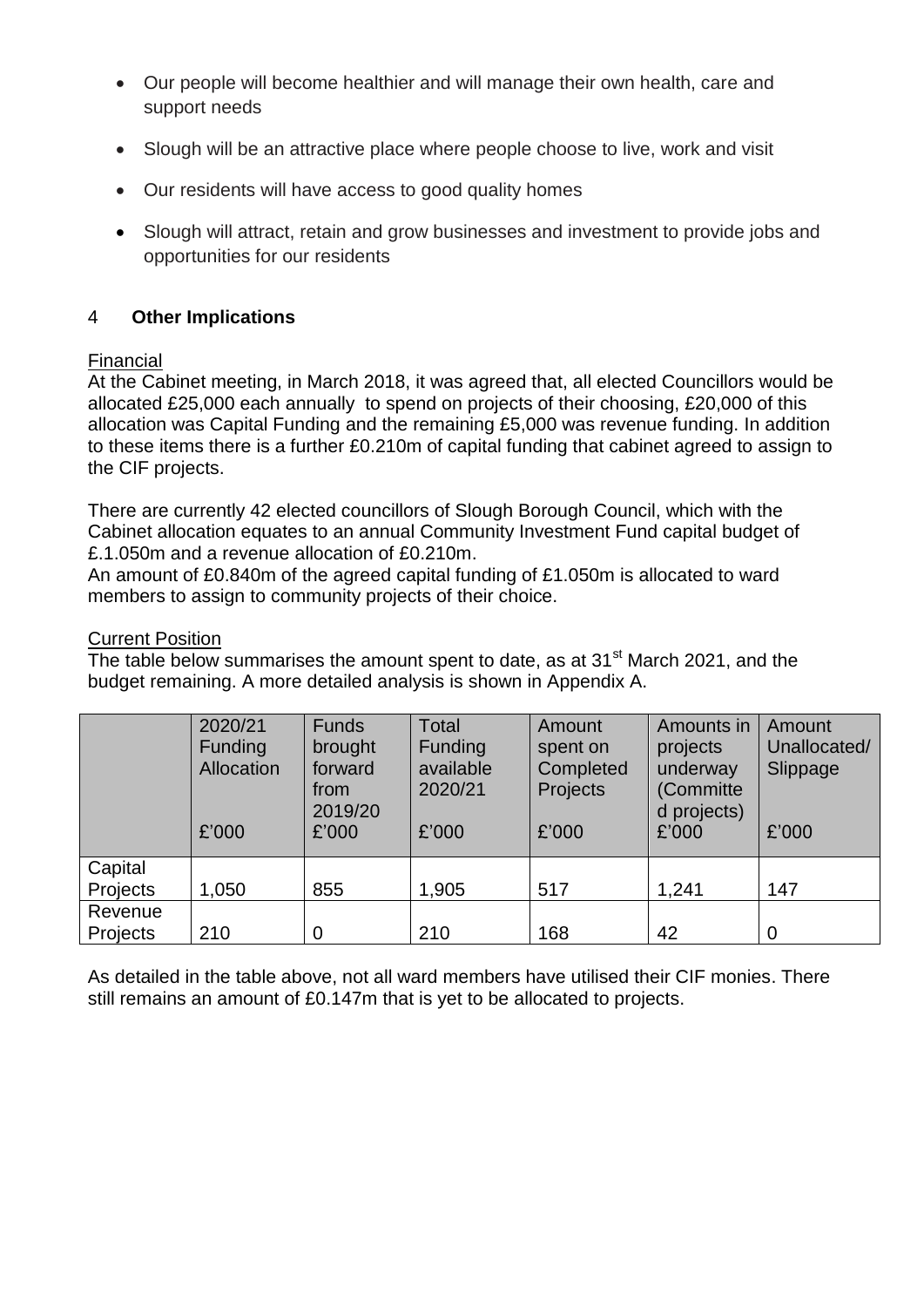- Our people will become healthier and will manage their own health, care and support needs
- Slough will be an attractive place where people choose to live, work and visit
- Our residents will have access to good quality homes
- Slough will attract, retain and grow businesses and investment to provide jobs and opportunities for our residents

### 4 **Other Implications**

#### Financial

At the Cabinet meeting, in March 2018, it was agreed that, all elected Councillors would be allocated £25,000 each annually to spend on projects of their choosing, £20,000 of this allocation was Capital Funding and the remaining £5,000 was revenue funding. In addition to these items there is a further £0.210m of capital funding that cabinet agreed to assign to the CIF projects.

There are currently 42 elected councillors of Slough Borough Council, which with the Cabinet allocation equates to an annual Community Investment Fund capital budget of £.1.050m and a revenue allocation of £0.210m.

An amount of £0.840m of the agreed capital funding of £1.050m is allocated to ward members to assign to community projects of their choice.

#### Current Position

The table below summarises the amount spent to date, as at 31<sup>st</sup> March 2021, and the budget remaining. A more detailed analysis is shown in Appendix A.

|                     | 2020/21<br><b>Funding</b><br>Allocation<br>£'000 | <b>Funds</b><br>brought<br>forward<br>from<br>2019/20<br>£'000 | Total<br><b>Funding</b><br>available<br>2020/21<br>£'000 | Amount<br>spent on<br>Completed<br>Projects<br>£'000 | Amounts in<br>projects<br>underway<br>(Committe<br>d projects)<br>£'000 | <b>Amount</b><br>Unallocated/<br>Slippage<br>£'000 |
|---------------------|--------------------------------------------------|----------------------------------------------------------------|----------------------------------------------------------|------------------------------------------------------|-------------------------------------------------------------------------|----------------------------------------------------|
| Capital<br>Projects | 1,050                                            | 855                                                            | 1,905                                                    | 517                                                  | 1,241                                                                   | 147                                                |
| Revenue<br>Projects | 210                                              | $\overline{0}$                                                 | 210                                                      | 168                                                  | 42                                                                      | $\overline{0}$                                     |

As detailed in the table above, not all ward members have utilised their CIF monies. There still remains an amount of £0.147m that is yet to be allocated to projects.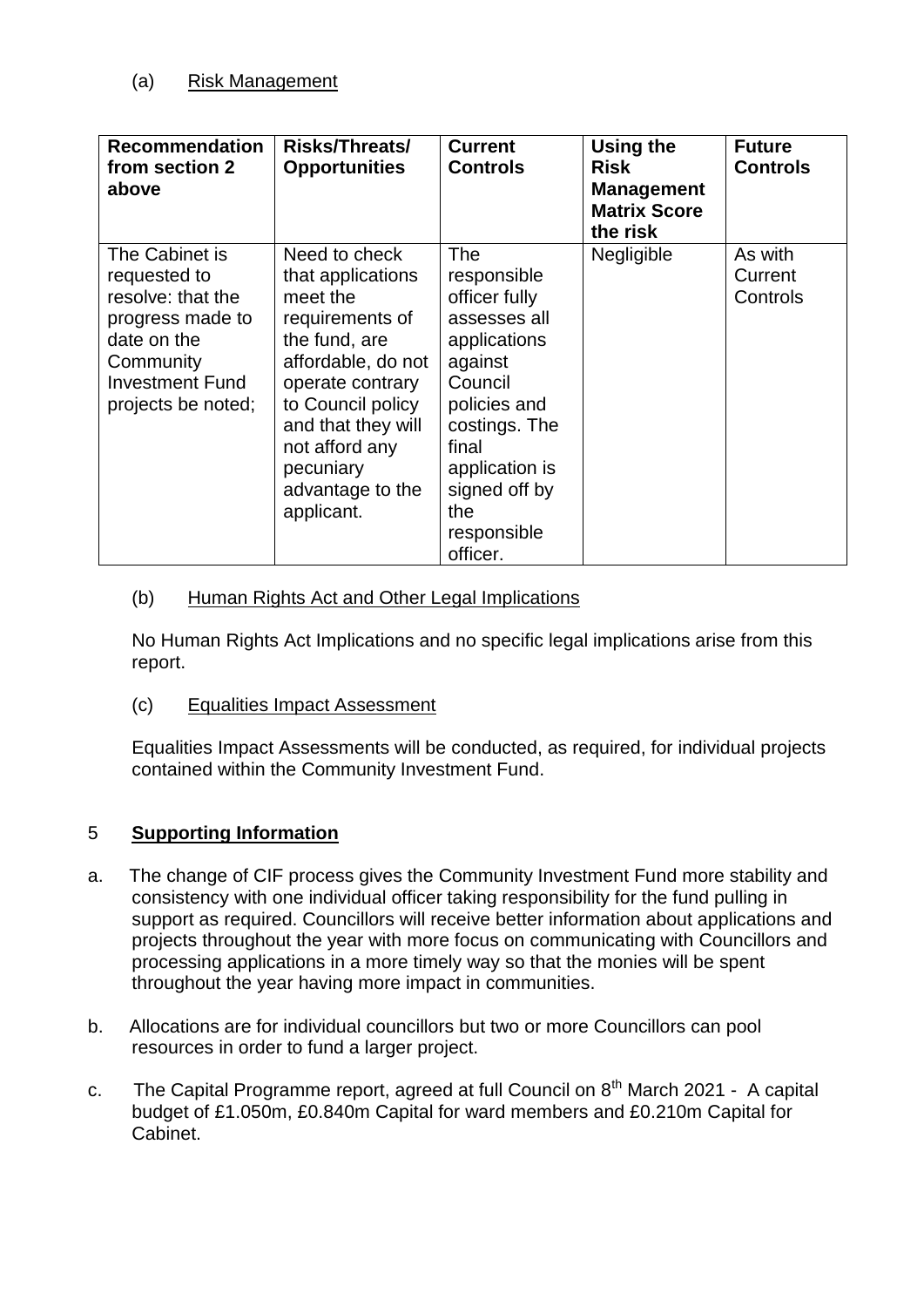| <b>Recommendation</b><br>from section 2<br>above                                                                                                    | <b>Risks/Threats/</b><br><b>Opportunities</b>                                                                                                                                                                                            | <b>Current</b><br><b>Controls</b>                                                                                                                                                                        | Using the<br><b>Risk</b><br><b>Management</b><br><b>Matrix Score</b><br>the risk | <b>Future</b><br><b>Controls</b> |
|-----------------------------------------------------------------------------------------------------------------------------------------------------|------------------------------------------------------------------------------------------------------------------------------------------------------------------------------------------------------------------------------------------|----------------------------------------------------------------------------------------------------------------------------------------------------------------------------------------------------------|----------------------------------------------------------------------------------|----------------------------------|
| The Cabinet is<br>requested to<br>resolve: that the<br>progress made to<br>date on the<br>Community<br><b>Investment Fund</b><br>projects be noted; | Need to check<br>that applications<br>meet the<br>requirements of<br>the fund, are<br>affordable, do not<br>operate contrary<br>to Council policy<br>and that they will<br>not afford any<br>pecuniary<br>advantage to the<br>applicant. | The<br>responsible<br>officer fully<br>assesses all<br>applications<br>against<br>Council<br>policies and<br>costings. The<br>final<br>application is<br>signed off by<br>the<br>responsible<br>officer. | Negligible                                                                       | As with<br>Current<br>Controls   |

### (b) Human Rights Act and Other Legal Implications

No Human Rights Act Implications and no specific legal implications arise from this report.

(c) Equalities Impact Assessment

Equalities Impact Assessments will be conducted, as required, for individual projects contained within the Community Investment Fund.

### 5 **Supporting Information**

- a. The change of CIF process gives the Community Investment Fund more stability and consistency with one individual officer taking responsibility for the fund pulling in support as required. Councillors will receive better information about applications and projects throughout the year with more focus on communicating with Councillors and processing applications in a more timely way so that the monies will be spent throughout the year having more impact in communities.
- b. Allocations are for individual councillors but two or more Councillors can pool resources in order to fund a larger project.
- c. The Capital Programme report, agreed at full Council on  $8<sup>th</sup>$  March 2021 A capital budget of £1.050m, £0.840m Capital for ward members and £0.210m Capital for Cabinet.